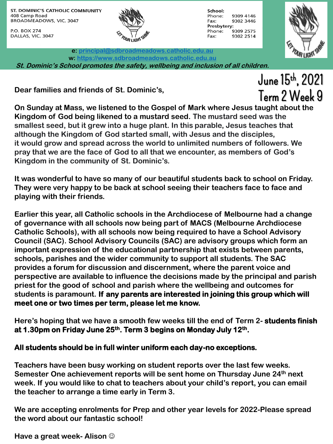ST. DOMINIC'S CATHOLIC COMMUNITY 408 Camp Road BROADMEADOWS, VIC. 3047

P.O. BOX 274 DALLAS, VIC. 3047



School: Phone: 9309 4146 Fax: 9302 3446 Presbytery: 9309 2575 Phone: 9302 2514 Fax:



**e: [principal@sdbroadmeadows.catholic.edu.au](mailto:principal@sdbroadmeadows.catholic.edu.au) w: [https://www.sdbroadmeadows.catholic.edu.au](https://www.sdbroadmeadows.catholic.edu.au/) St. Dominic's School promotes the safety, wellbeing and inclusion of all children.**

**Dear families and friends of St. Dominic's,**

## June 15th, 2021 Term 2 Week 9

**On Sunday at Mass, we listened to the Gospel of Mark where Jesus taught about the Kingdom of God being likened to a mustard seed. The mustard seed was the smallest seed, but it grew into a huge plant. In this parable, Jesus teaches that although the Kingdom of God started small, with Jesus and the disciples, it would grow and spread across the world to unlimited numbers of followers. We pray that we are the face of God to all that we encounter, as members of God's Kingdom in the community of St. Dominic's.**

**It was wonderful to have so many of our beautiful students back to school on Friday. They were very happy to be back at school seeing their teachers face to face and playing with their friends.**

**Earlier this year, all Catholic schools in the Archdiocese of Melbourne had a change of governance with all schools now being part of MACS (Melbourne Archdiocese Catholic Schools), with all schools now being required to have a School Advisory Council (SAC). School Advisory Councils (SAC) are advisory groups which form an important expression of the educational partnership that exists between parents, schools, parishes and the wider community to support all students. The SAC provides a forum for discussion and discernment, where the parent voice and perspective are available to influence the decisions made by the principal and parish priest for the good of school and parish where the wellbeing and outcomes for students is paramount. If any parents are interested in joining this group which will meet one or two times per term, please let me know.**

**Here's hoping that we have a smooth few weeks till the end of Term 2- students finish at 1.30pm on Friday June 25th. Term 3 begins on Monday July 12th.**

## **All students should be in full winter uniform each day-no exceptions.**

**Teachers have been busy working on student reports over the last few weeks. Semester One achievement reports will be sent home on Thursday June 24th next week. If you would like to chat to teachers about your child's report, you can email the teacher to arrange a time early in Term 3.**

**We are accepting enrolments for Prep and other year levels for 2022-Please spread the word about our fantastic school!**

**Have a great week- Alison**